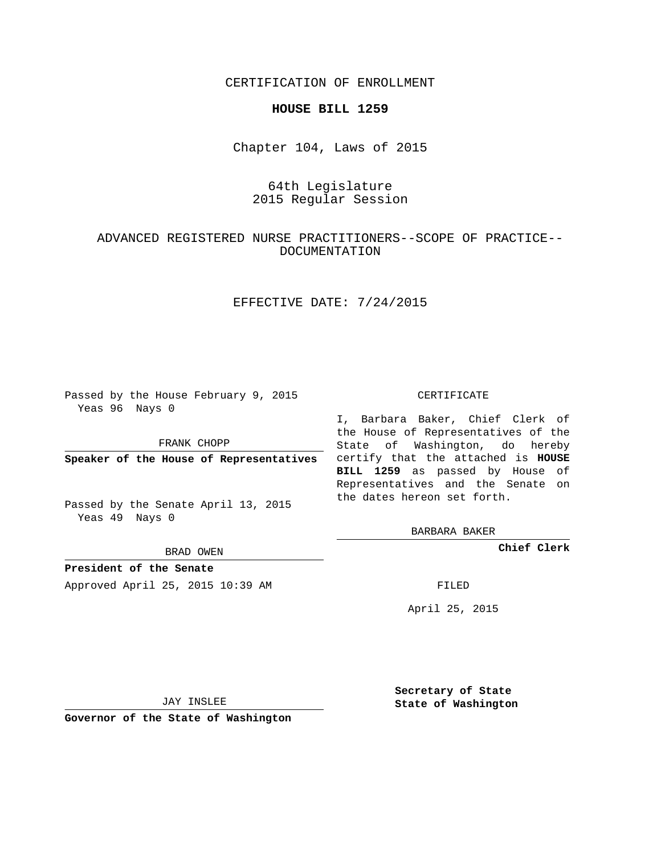CERTIFICATION OF ENROLLMENT

#### **HOUSE BILL 1259**

Chapter 104, Laws of 2015

# 64th Legislature 2015 Regular Session

## ADVANCED REGISTERED NURSE PRACTITIONERS--SCOPE OF PRACTICE-- DOCUMENTATION

## EFFECTIVE DATE: 7/24/2015

Passed by the House February 9, 2015 Yeas 96 Nays 0

FRANK CHOPP

Passed by the Senate April 13, 2015 Yeas 49 Nays 0

BRAD OWEN

**President of the Senate**

Approved April 25, 2015 10:39 AM FILED

#### CERTIFICATE

**Speaker of the House of Representatives** certify that the attached is **HOUSE** I, Barbara Baker, Chief Clerk of the House of Representatives of the State of Washington, do hereby **BILL 1259** as passed by House of Representatives and the Senate on the dates hereon set forth.

BARBARA BAKER

**Chief Clerk**

April 25, 2015

JAY INSLEE

**Governor of the State of Washington**

**Secretary of State State of Washington**